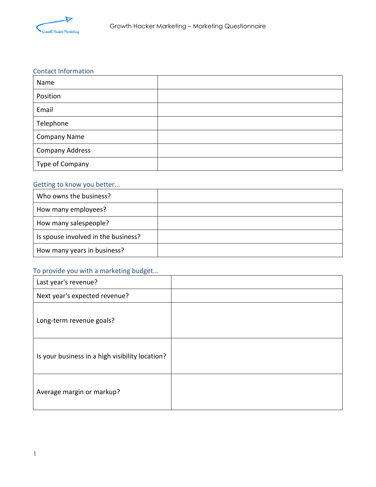

#### Contact Information

| Name                   |  |
|------------------------|--|
| Position               |  |
| Email                  |  |
| Telephone              |  |
| <b>Company Name</b>    |  |
| <b>Company Address</b> |  |
| Type of Company        |  |

### Getting to know you better...

| Who owns the business?              |  |
|-------------------------------------|--|
| How many employees?                 |  |
| How many salespeople?               |  |
| Is spouse involved in the business? |  |
| How many years in business?         |  |

# To provide you with a marketing budget...

| Last year's revenue?                            |  |
|-------------------------------------------------|--|
| Next year's expected revenue?                   |  |
| Long-term revenue goals?                        |  |
| Is your business in a high visibility location? |  |
| Average margin or markup?                       |  |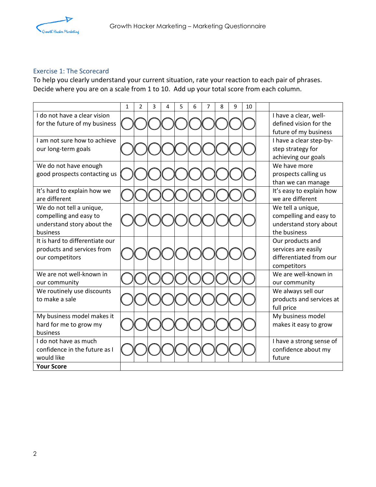

### Exercise 1: The Scorecard

To help you clearly understand your current situation, rate your reaction to each pair of phrases. Decide where you are on a scale from 1 to 10. Add up your total score from each column.

|                                                      | 1 | $\overline{2}$ | 3 | 4 | 5 | 6 | $\overline{7}$ | 8 | 9 | 10 |                                                  |
|------------------------------------------------------|---|----------------|---|---|---|---|----------------|---|---|----|--------------------------------------------------|
| I do not have a clear vision                         |   |                |   |   |   |   |                |   |   |    | I have a clear, well-                            |
| for the future of my business                        |   |                |   |   |   |   |                |   |   |    | defined vision for the                           |
|                                                      |   |                |   |   |   |   |                |   |   |    | future of my business                            |
| I am not sure how to achieve                         |   |                |   |   |   |   |                |   |   |    | I have a clear step-by-                          |
| our long-term goals                                  |   |                |   |   |   |   |                |   |   |    | step strategy for                                |
|                                                      |   |                |   |   |   |   |                |   |   |    | achieving our goals                              |
| We do not have enough                                |   |                |   |   |   |   |                |   |   |    | We have more                                     |
| good prospects contacting us                         |   |                |   |   |   |   |                |   |   |    | prospects calling us                             |
|                                                      |   |                |   |   |   |   |                |   |   |    | than we can manage                               |
| It's hard to explain how we                          |   |                |   |   |   |   |                |   |   |    | It's easy to explain how                         |
| are different                                        |   |                |   |   |   |   |                |   |   |    | we are different                                 |
| We do not tell a unique,                             |   |                |   |   |   |   |                |   |   |    | We tell a unique,                                |
| compelling and easy to<br>understand story about the |   |                |   |   |   |   |                |   |   |    | compelling and easy to<br>understand story about |
| business                                             |   |                |   |   |   |   |                |   |   |    | the business                                     |
| It is hard to differentiate our                      |   |                |   |   |   |   |                |   |   |    | Our products and                                 |
| products and services from                           |   |                |   |   |   |   |                |   |   |    | services are easily                              |
| our competitors                                      |   |                |   |   |   |   |                |   |   |    | differentiated from our                          |
|                                                      |   |                |   |   |   |   |                |   |   |    | competitors                                      |
| We are not well-known in                             |   |                |   |   |   |   |                |   |   |    | We are well-known in                             |
| our community                                        |   |                |   |   |   |   |                |   |   |    | our community                                    |
| We routinely use discounts                           |   |                |   |   |   |   |                |   |   |    | We always sell our                               |
| to make a sale                                       |   |                |   |   |   |   |                |   |   |    | products and services at                         |
|                                                      |   |                |   |   |   |   |                |   |   |    | full price                                       |
| My business model makes it                           |   |                |   |   |   |   |                |   |   |    | My business model                                |
| hard for me to grow my                               |   |                |   |   |   |   |                |   |   |    | makes it easy to grow                            |
| business                                             |   |                |   |   |   |   |                |   |   |    |                                                  |
| I do not have as much                                |   |                |   |   |   |   |                |   |   |    | I have a strong sense of                         |
| confidence in the future as I                        |   |                |   |   |   |   |                |   |   |    | confidence about my                              |
| would like                                           |   |                |   |   |   |   |                |   |   |    | future                                           |
| <b>Your Score</b>                                    |   |                |   |   |   |   |                |   |   |    |                                                  |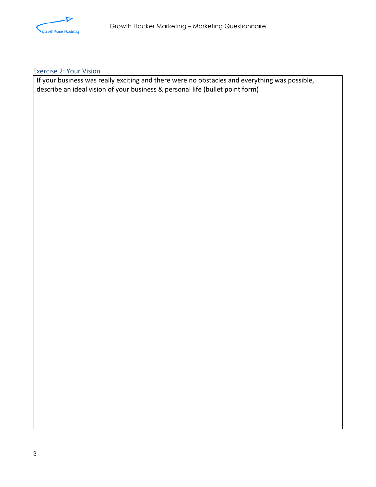

### Exercise 2: Your Vision

If your business was really exciting and there were no obstacles and everything was possible, describe an ideal vision of your business & personal life (bullet point form)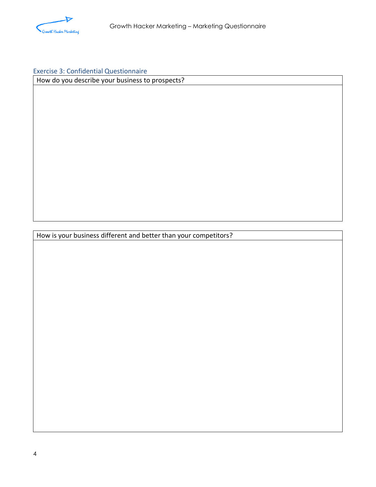

## Exercise 3: Confidential Questionnaire

How do you describe your business to prospects?

How is your business different and better than your competitors?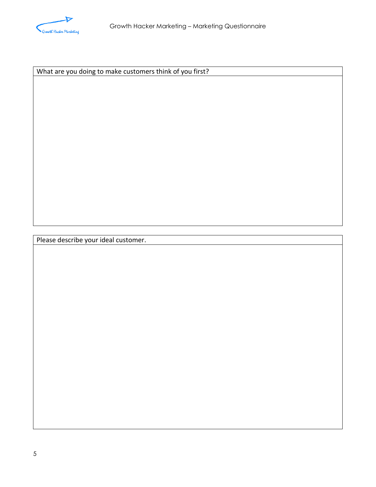

What are you doing to make customers think of you first?

Please describe your ideal customer.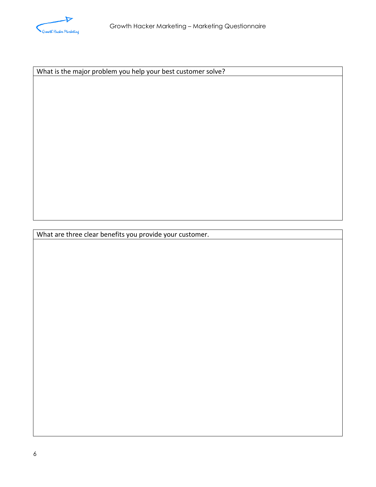

What is the major problem you help your best customer solve?

What are three clear benefits you provide your customer.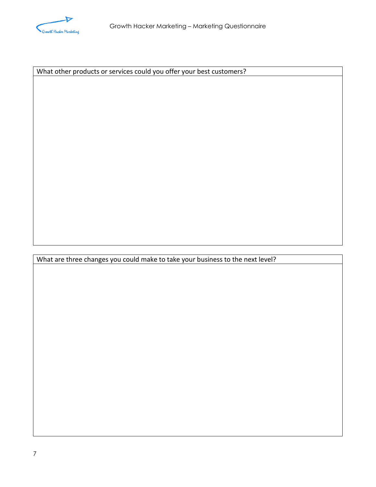

What other products or services could you offer your best customers?

What are three changes you could make to take your business to the next level?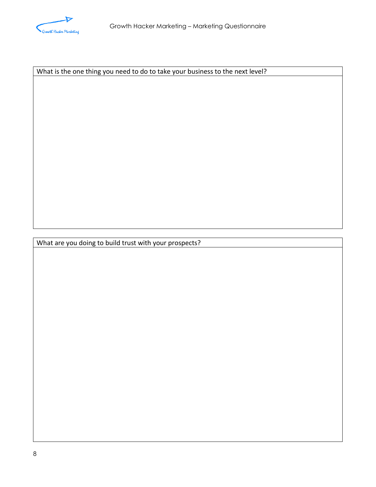

What is the one thing you need to do to take your business to the next level?

What are you doing to build trust with your prospects?